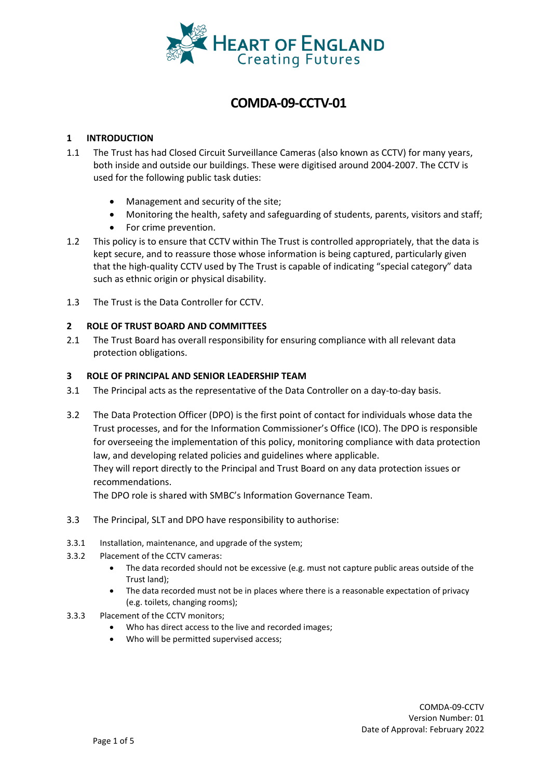

# **COMDA-09-CCTV-01**

# **1 INTRODUCTION**

- 1.1 The Trust has had Closed Circuit Surveillance Cameras (also known as CCTV) for many years, both inside and outside our buildings. These were digitised around 2004-2007. The CCTV is used for the following public task duties:
	- Management and security of the site;
	- Monitoring the health, safety and safeguarding of students, parents, visitors and staff;
	- For crime prevention.
- 1.2 This policy is to ensure that CCTV within The Trust is controlled appropriately, that the data is kept secure, and to reassure those whose information is being captured, particularly given that the high-quality CCTV used by The Trust is capable of indicating "special category" data such as ethnic origin or physical disability.
- 1.3 The Trust is the Data Controller for CCTV.

#### **2 ROLE OF TRUST BOARD AND COMMITTEES**

2.1 The Trust Board has overall responsibility for ensuring compliance with all relevant data protection obligations.

#### **3 ROLE OF PRINCIPAL AND SENIOR LEADERSHIP TEAM**

- 3.1 The Principal acts as the representative of the Data Controller on a day-to-day basis.
- 3.2 The Data Protection Officer (DPO) is the first point of contact for individuals whose data the Trust processes, and for the Information Commissioner's Office (ICO). The DPO is responsible for overseeing the implementation of this policy, monitoring compliance with data protection law, and developing related policies and guidelines where applicable. They will report directly to the Principal and Trust Board on any data protection issues or recommendations.

The DPO role is shared with SMBC's Information Governance Team.

- 3.3 The Principal, SLT and DPO have responsibility to authorise:
- 3.3.1 Installation, maintenance, and upgrade of the system;
- 3.3.2 Placement of the CCTV cameras:
	- The data recorded should not be excessive (e.g. must not capture public areas outside of the Trust land);
	- The data recorded must not be in places where there is a reasonable expectation of privacy (e.g. toilets, changing rooms);
- 3.3.3 Placement of the CCTV monitors;
	- Who has direct access to the live and recorded images;
	- Who will be permitted supervised access;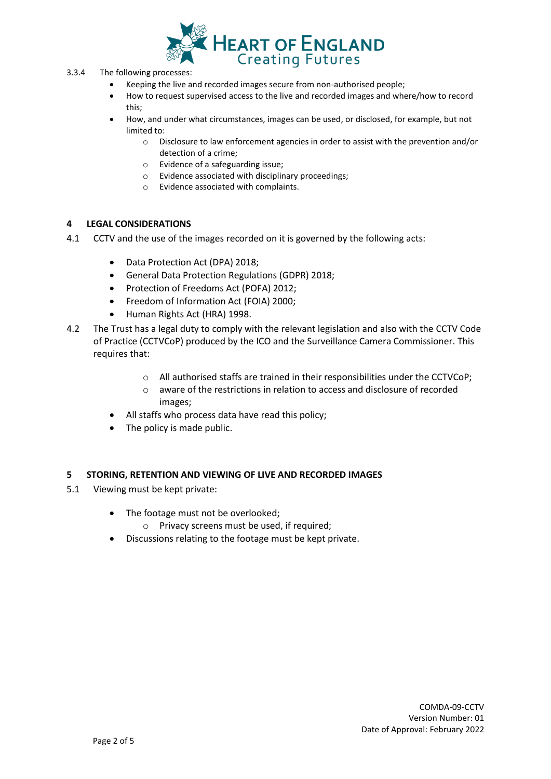

- 3.3.4 The following processes:
	- Keeping the live and recorded images secure from non-authorised people;
	- How to request supervised access to the live and recorded images and where/how to record this;
	- How, and under what circumstances, images can be used, or disclosed, for example, but not limited to:
		- o Disclosure to law enforcement agencies in order to assist with the prevention and/or detection of a crime;
		- o Evidence of a safeguarding issue;
		- o Evidence associated with disciplinary proceedings;
		- o Evidence associated with complaints.

#### **4 LEGAL CONSIDERATIONS**

- 4.1 CCTV and the use of the images recorded on it is governed by the following acts:
	- Data Protection Act (DPA) 2018;
	- General Data Protection Regulations (GDPR) 2018;
	- Protection of Freedoms Act (POFA) 2012;
	- Freedom of Information Act (FOIA) 2000;
	- Human Rights Act (HRA) 1998.
- 4.2 The Trust has a legal duty to comply with the relevant legislation and also with the CCTV Code of Practice (CCTVCoP) produced by the ICO and the Surveillance Camera Commissioner. This requires that:
	- o All authorised staffs are trained in their responsibilities under the CCTVCoP;
	- o aware of the restrictions in relation to access and disclosure of recorded images;
	- All staffs who process data have read this policy;
	- The policy is made public.

#### **5 STORING, RETENTION AND VIEWING OF LIVE AND RECORDED IMAGES**

- 5.1 Viewing must be kept private:
	- The footage must not be overlooked;
		- o Privacy screens must be used, if required;
	- Discussions relating to the footage must be kept private.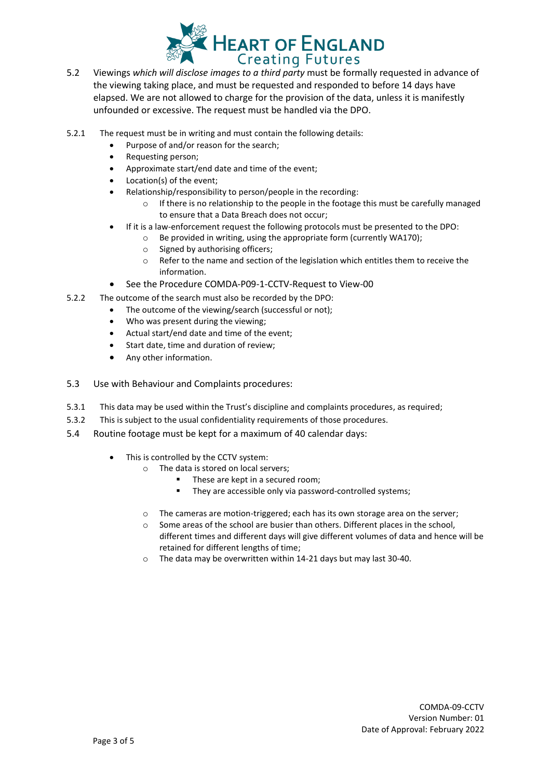

- 5.2 Viewings *which will disclose images to a third party* must be formally requested in advance of the viewing taking place, and must be requested and responded to before 14 days have elapsed. We are not allowed to charge for the provision of the data, unless it is manifestly unfounded or excessive. The request must be handled via the DPO.
- 5.2.1 The request must be in writing and must contain the following details:
	- Purpose of and/or reason for the search;
	- Requesting person;
	- Approximate start/end date and time of the event;
	- Location(s) of the event;
		- Relationship/responsibility to person/people in the recording:
			- $\circ$  If there is no relationship to the people in the footage this must be carefully managed to ensure that a Data Breach does not occur;
	- If it is a law-enforcement request the following protocols must be presented to the DPO:
		- o Be provided in writing, using the appropriate form (currently WA170);
			- o Signed by authorising officers;
			- $\circ$  Refer to the name and section of the legislation which entitles them to receive the information.
	- See the Procedure COMDA-P09-1-CCTV-Request to View-00
- 5.2.2 The outcome of the search must also be recorded by the DPO:
	- The outcome of the viewing/search (successful or not);
	- Who was present during the viewing;
	- Actual start/end date and time of the event;
	- Start date, time and duration of review;
	- Any other information.
- 5.3 Use with Behaviour and Complaints procedures:
- 5.3.1 This data may be used within the Trust's discipline and complaints procedures, as required;
- 5.3.2 This is subject to the usual confidentiality requirements of those procedures.
- 5.4 Routine footage must be kept for a maximum of 40 calendar days:
	- This is controlled by the CCTV system:
		- o The data is stored on local servers;
			- These are kept in a secured room;
			- They are accessible only via password-controlled systems;
		- $\circ$  The cameras are motion-triggered; each has its own storage area on the server;
		- $\circ$  Some areas of the school are busier than others. Different places in the school, different times and different days will give different volumes of data and hence will be retained for different lengths of time;
		- o The data may be overwritten within 14-21 days but may last 30-40.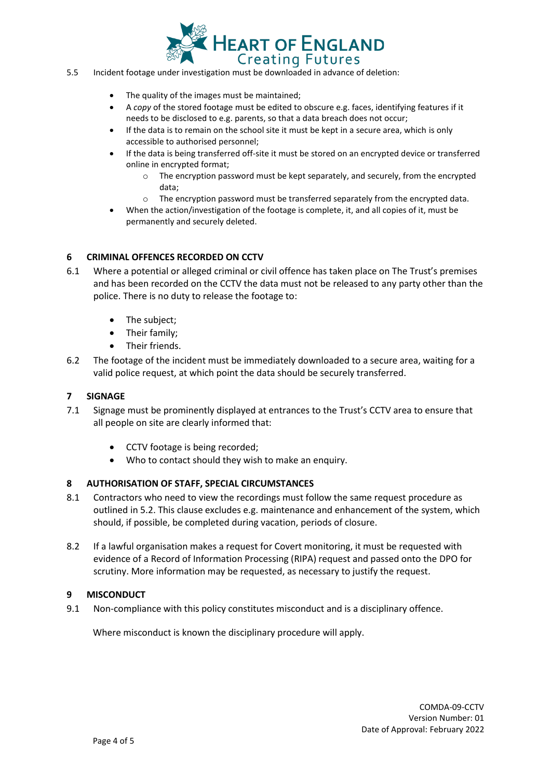

- 5.5 Incident footage under investigation must be downloaded in advance of deletion:
	- The quality of the images must be maintained;
	- A *copy* of the stored footage must be edited to obscure e.g. faces, identifying features if it needs to be disclosed to e.g. parents, so that a data breach does not occur;
	- If the data is to remain on the school site it must be kept in a secure area, which is only accessible to authorised personnel;
	- If the data is being transferred off-site it must be stored on an encrypted device or transferred online in encrypted format;
		- o The encryption password must be kept separately, and securely, from the encrypted data;
		- $\circ$  The encryption password must be transferred separately from the encrypted data.
	- When the action/investigation of the footage is complete, it, and all copies of it, must be permanently and securely deleted.

#### **6 CRIMINAL OFFENCES RECORDED ON CCTV**

- 6.1 Where a potential or alleged criminal or civil offence has taken place on The Trust's premises and has been recorded on the CCTV the data must not be released to any party other than the police. There is no duty to release the footage to:
	- The subject:
	- Their family;
	- Their friends.
- 6.2 The footage of the incident must be immediately downloaded to a secure area, waiting for a valid police request, at which point the data should be securely transferred.

#### **7 SIGNAGE**

- 7.1 Signage must be prominently displayed at entrances to the Trust's CCTV area to ensure that all people on site are clearly informed that:
	- CCTV footage is being recorded;
	- Who to contact should they wish to make an enquiry.

#### **8 AUTHORISATION OF STAFF, SPECIAL CIRCUMSTANCES**

- 8.1 Contractors who need to view the recordings must follow the same request procedure as outlined in 5.2. This clause excludes e.g. maintenance and enhancement of the system, which should, if possible, be completed during vacation, periods of closure.
- 8.2 If a lawful organisation makes a request for Covert monitoring, it must be requested with evidence of a Record of Information Processing (RIPA) request and passed onto the DPO for scrutiny. More information may be requested, as necessary to justify the request.

#### **9 MISCONDUCT**

9.1 Non-compliance with this policy constitutes misconduct and is a disciplinary offence.

Where misconduct is known the disciplinary procedure will apply.